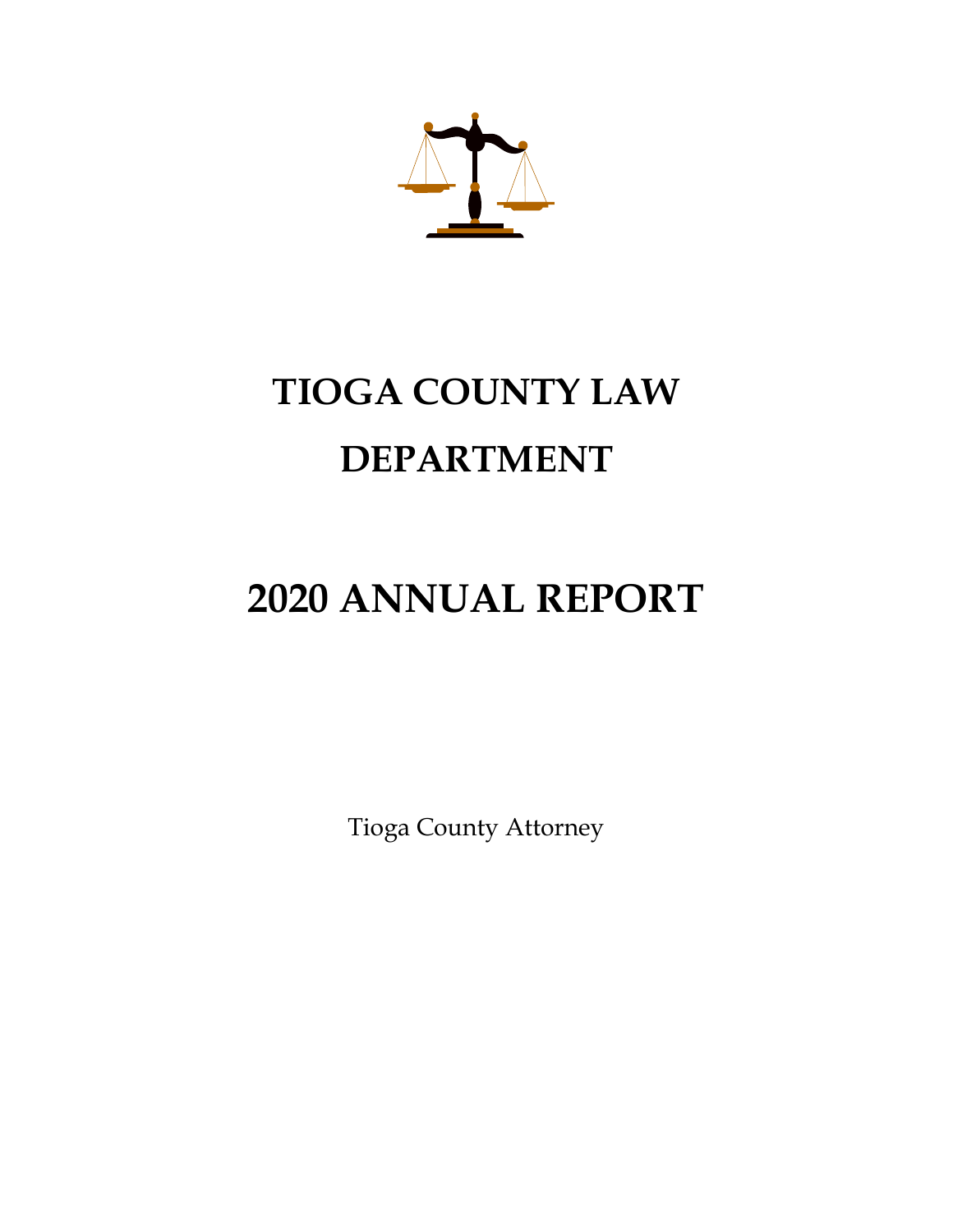

# **TIOGA COUNTY LAW DEPARTMENT**

# **2020 ANNUAL REPORT**

Tioga County Attorney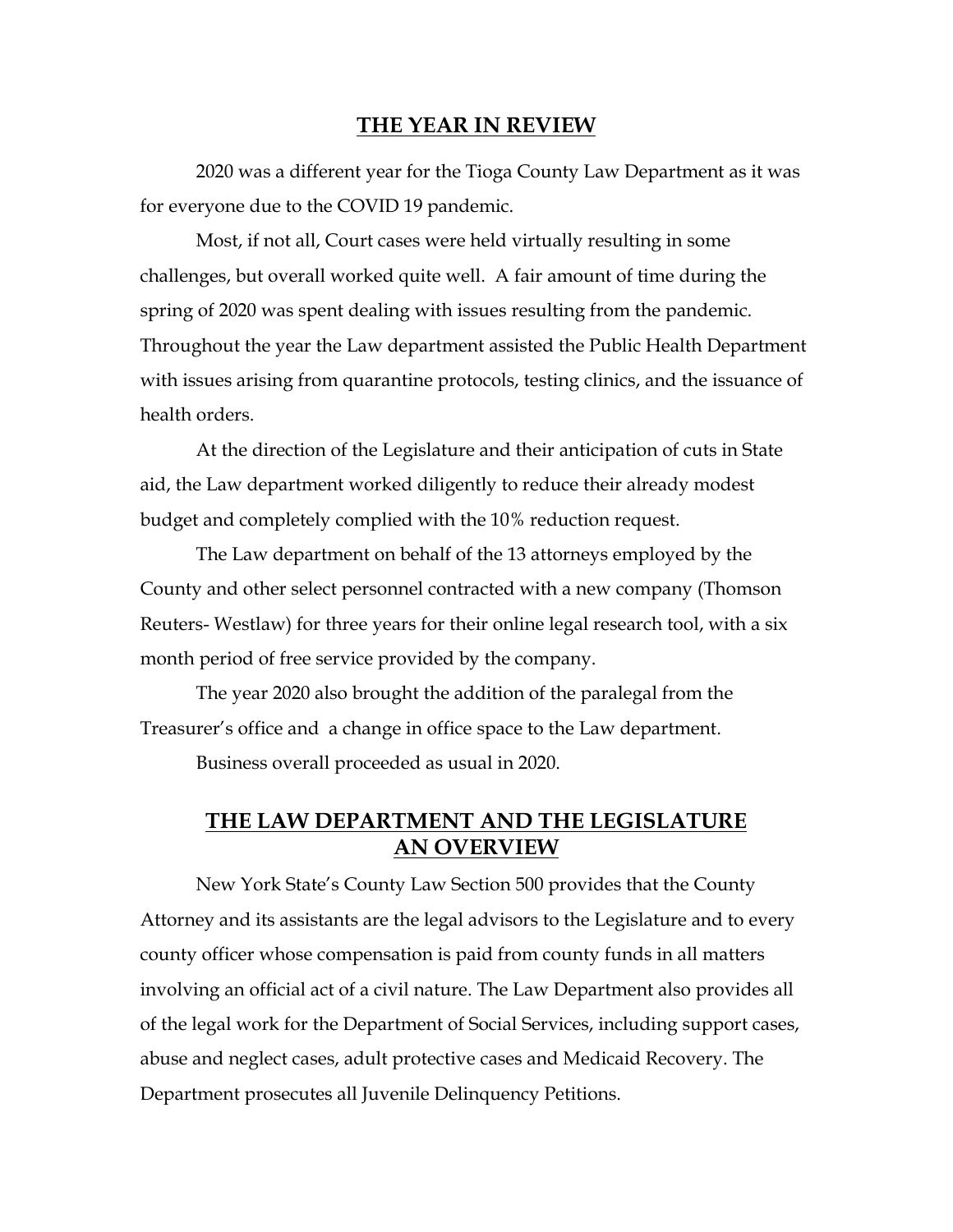#### **THE YEAR IN REVIEW**

2020 was a different year for the Tioga County Law Department as it was for everyone due to the COVID 19 pandemic.

Most, if not all, Court cases were held virtually resulting in some challenges, but overall worked quite well. A fair amount of time during the spring of 2020 was spent dealing with issues resulting from the pandemic. Throughout the year the Law department assisted the Public Health Department with issues arising from quarantine protocols, testing clinics, and the issuance of health orders.

At the direction of the Legislature and their anticipation of cuts in State aid, the Law department worked diligently to reduce their already modest budget and completely complied with the 10% reduction request.

The Law department on behalf of the 13 attorneys employed by the County and other select personnel contracted with a new company (Thomson Reuters- Westlaw) for three years for their online legal research tool, with a six month period of free service provided by the company.

The year 2020 also brought the addition of the paralegal from the Treasurer's office and a change in office space to the Law department.

Business overall proceeded as usual in 2020.

## **THE LAW DEPARTMENT AND THE LEGISLATURE AN OVERVIEW**

New York State's County Law Section 500 provides that the County Attorney and its assistants are the legal advisors to the Legislature and to every county officer whose compensation is paid from county funds in all matters involving an official act of a civil nature. The Law Department also provides all of the legal work for the Department of Social Services, including support cases, abuse and neglect cases, adult protective cases and Medicaid Recovery. The Department prosecutes all Juvenile Delinquency Petitions.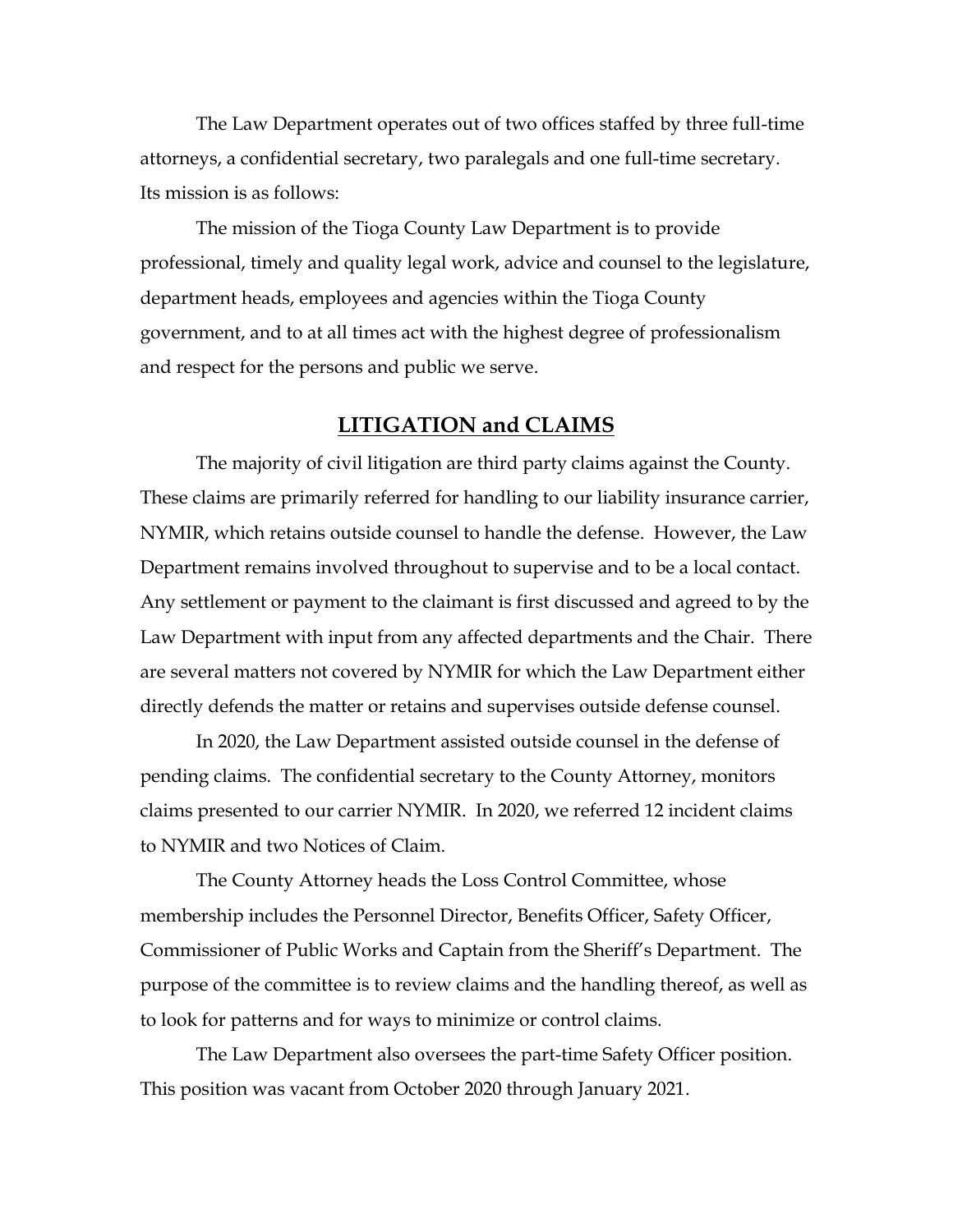The Law Department operates out of two offices staffed by three full-time attorneys, a confidential secretary, two paralegals and one full-time secretary. Its mission is as follows:

The mission of the Tioga County Law Department is to provide professional, timely and quality legal work, advice and counsel to the legislature, department heads, employees and agencies within the Tioga County government, and to at all times act with the highest degree of professionalism and respect for the persons and public we serve.

#### **LITIGATION and CLAIMS**

The majority of civil litigation are third party claims against the County. These claims are primarily referred for handling to our liability insurance carrier, NYMIR, which retains outside counsel to handle the defense. However, the Law Department remains involved throughout to supervise and to be a local contact. Any settlement or payment to the claimant is first discussed and agreed to by the Law Department with input from any affected departments and the Chair. There are several matters not covered by NYMIR for which the Law Department either directly defends the matter or retains and supervises outside defense counsel.

In 2020, the Law Department assisted outside counsel in the defense of pending claims. The confidential secretary to the County Attorney, monitors claims presented to our carrier NYMIR. In 2020, we referred 12 incident claims to NYMIR and two Notices of Claim.

The County Attorney heads the Loss Control Committee, whose membership includes the Personnel Director, Benefits Officer, Safety Officer, Commissioner of Public Works and Captain from the Sheriff's Department. The purpose of the committee is to review claims and the handling thereof, as well as to look for patterns and for ways to minimize or control claims.

The Law Department also oversees the part-time Safety Officer position. This position was vacant from October 2020 through January 2021.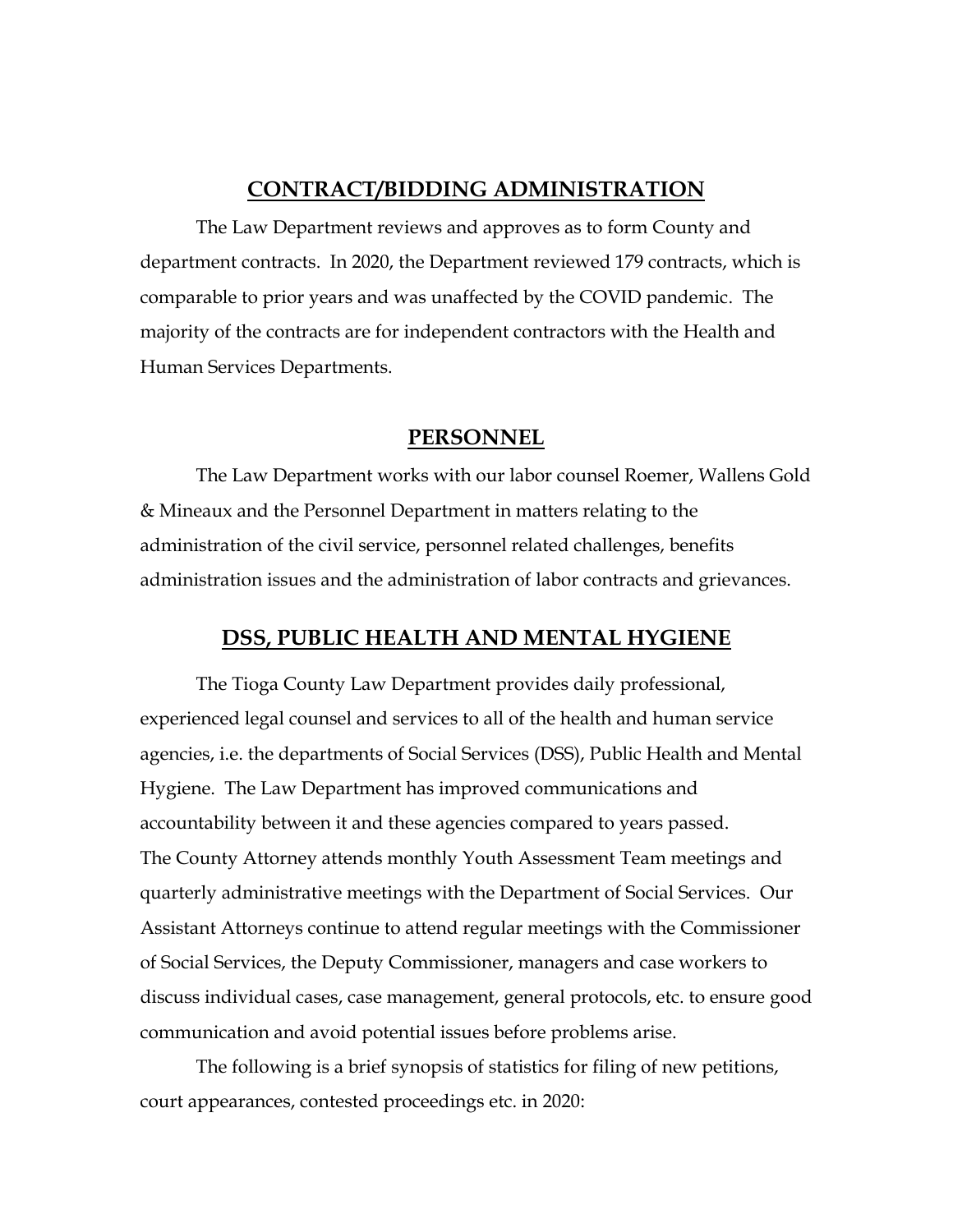#### **CONTRACT/BIDDING ADMINISTRATION**

The Law Department reviews and approves as to form County and department contracts. In 2020, the Department reviewed 179 contracts, which is comparable to prior years and was unaffected by the COVID pandemic. The majority of the contracts are for independent contractors with the Health and Human Services Departments.

#### **PERSONNEL**

The Law Department works with our labor counsel Roemer, Wallens Gold & Mineaux and the Personnel Department in matters relating to the administration of the civil service, personnel related challenges, benefits administration issues and the administration of labor contracts and grievances.

#### **DSS, PUBLIC HEALTH AND MENTAL HYGIENE**

The Tioga County Law Department provides daily professional, experienced legal counsel and services to all of the health and human service agencies, i.e. the departments of Social Services (DSS), Public Health and Mental Hygiene. The Law Department has improved communications and accountability between it and these agencies compared to years passed. The County Attorney attends monthly Youth Assessment Team meetings and quarterly administrative meetings with the Department of Social Services. Our Assistant Attorneys continue to attend regular meetings with the Commissioner of Social Services, the Deputy Commissioner, managers and case workers to discuss individual cases, case management, general protocols, etc. to ensure good communication and avoid potential issues before problems arise.

The following is a brief synopsis of statistics for filing of new petitions, court appearances, contested proceedings etc. in 2020: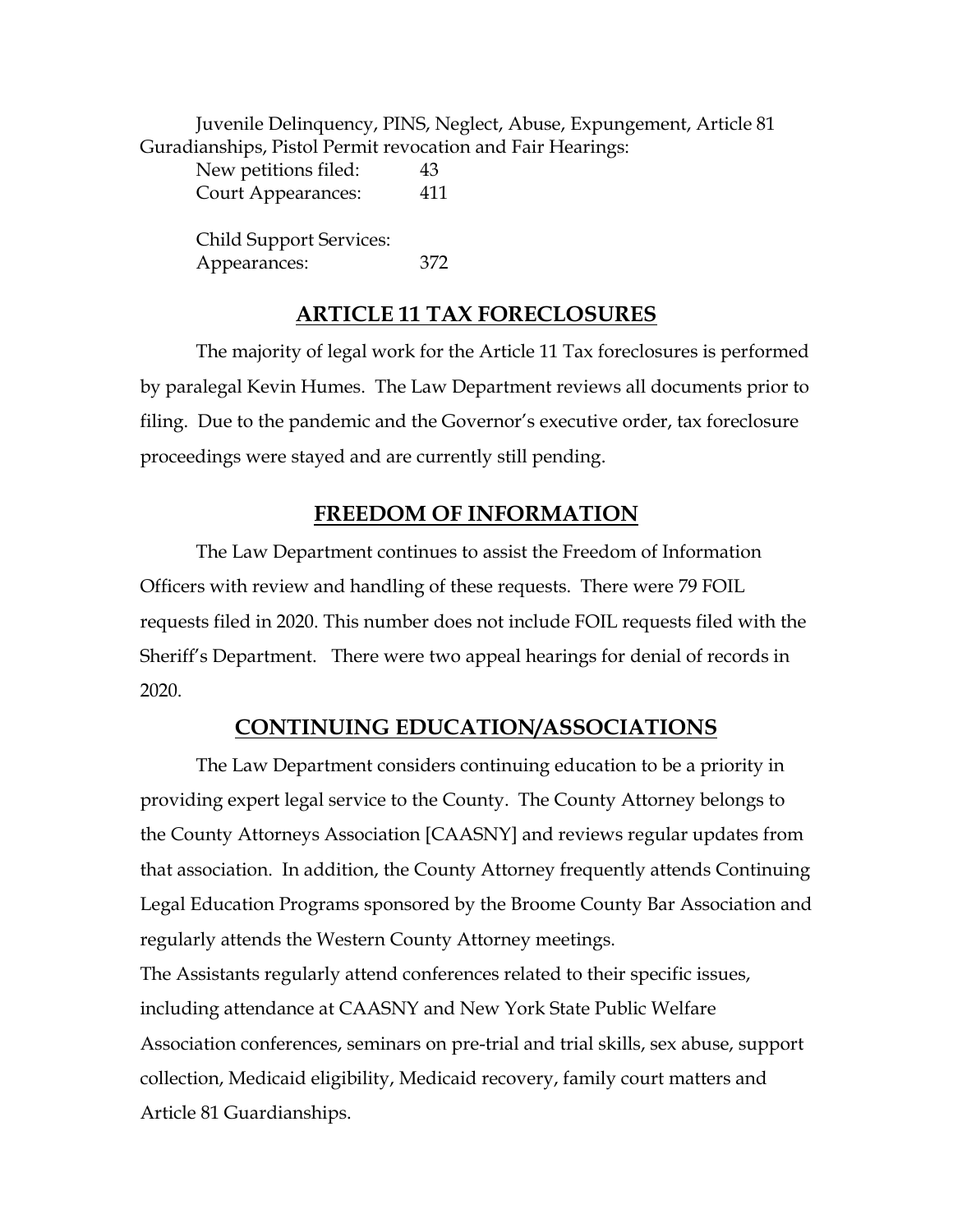Juvenile Delinquency, PINS, Neglect, Abuse, Expungement, Article 81 Guradianships, Pistol Permit revocation and Fair Hearings:

| New petitions filed:      | 43  |
|---------------------------|-----|
| <b>Court Appearances:</b> | 411 |

Child Support Services: Appearances: 372

## **ARTICLE 11 TAX FORECLOSURES**

The majority of legal work for the Article 11 Tax foreclosures is performed by paralegal Kevin Humes. The Law Department reviews all documents prior to filing. Due to the pandemic and the Governor's executive order, tax foreclosure proceedings were stayed and are currently still pending.

#### **FREEDOM OF INFORMATION**

The Law Department continues to assist the Freedom of Information Officers with review and handling of these requests. There were 79 FOIL requests filed in 2020. This number does not include FOIL requests filed with the Sheriff's Department. There were two appeal hearings for denial of records in 2020.

#### **CONTINUING EDUCATION/ASSOCIATIONS**

The Law Department considers continuing education to be a priority in providing expert legal service to the County. The County Attorney belongs to the County Attorneys Association [CAASNY] and reviews regular updates from that association. In addition, the County Attorney frequently attends Continuing Legal Education Programs sponsored by the Broome County Bar Association and regularly attends the Western County Attorney meetings.

The Assistants regularly attend conferences related to their specific issues, including attendance at CAASNY and New York State Public Welfare Association conferences, seminars on pre-trial and trial skills, sex abuse, support collection, Medicaid eligibility, Medicaid recovery, family court matters and Article 81 Guardianships.